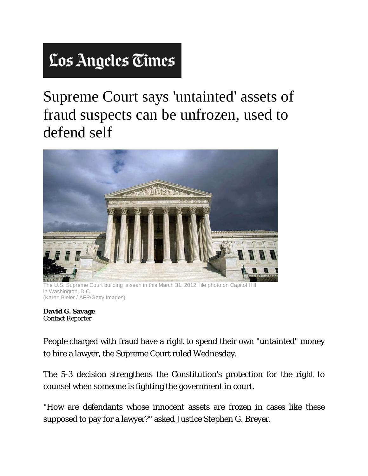## Los Angeles Times

Supreme Court says 'untainted' assets of fraud suspects can be unfrozen, used to defend self



.S. Supreme Court building is seen in this March 31, 2012, file photo on Capitol Hill in Washington, D.C. (Karen Bleier / AFP/Getty Images)

**David G. Savage**  Contact Reporter

People charged with fraud have a right to spend their own "untainted" money to hire a lawyer, the Supreme Court ruled Wednesday.

The 5-3 decision strengthens the Constitution's protection for the right to counsel when someone is fighting the government in court.

"How are defendants whose innocent assets are frozen in cases like these supposed to pay for a lawyer?" asked Justice Stephen G. Breyer.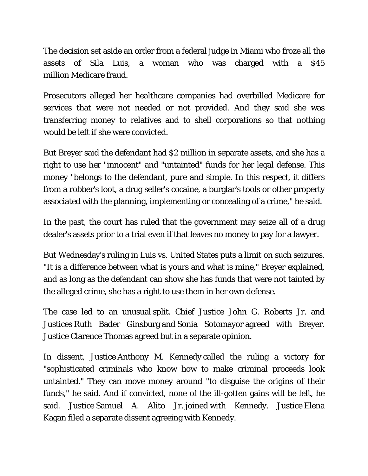The decision set aside an order from a federal judge in Miami who froze all the assets of Sila Luis, a woman who was charged with a \$45 million Medicare fraud.

Prosecutors alleged her healthcare companies had overbilled Medicare for services that were not needed or not provided. And they said she was transferring money to relatives and to shell corporations so that nothing would be left if she were convicted.

But Breyer said the defendant had \$2 million in separate assets, and she has a right to use her "innocent" and "untainted" funds for her legal defense. This money "belongs to the defendant, pure and simple. In this respect, it differs from a robber's loot, a drug seller's cocaine, a burglar's tools or other property associated with the planning, implementing or concealing of a crime," he said.

In the past, the court has ruled that the government may seize all of a drug dealer's assets prior to a trial even if that leaves no money to pay for a lawyer.

But Wednesday's ruling in Luis vs. United States puts a limit on such seizures. "It is a difference between what is yours and what is mine," Breyer explained, and as long as the defendant can show she has funds that were not tainted by the alleged crime, she has a right to use them in her own defense.

The case led to an unusual split. Chief Justice John G. Roberts Jr. and Justices Ruth Bader Ginsburg and Sonia Sotomayor agreed with Breyer. Justice Clarence Thomas agreed but in a separate opinion.

In dissent, Justice Anthony M. Kennedy called the ruling a victory for "sophisticated criminals who know how to make criminal proceeds look untainted." They can move money around "to disguise the origins of their funds," he said. And if convicted, none of the ill-gotten gains will be left, he said. Justice Samuel A. Alito Jr. joined with Kennedy. Justice Elena Kagan filed a separate dissent agreeing with Kennedy.